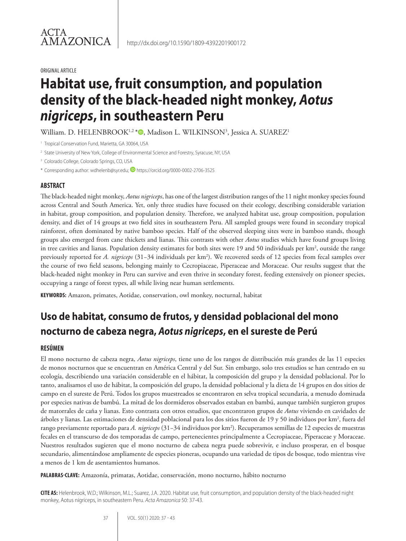# **Habitat use, fruit consumption, and population density of the black-headed night monkey,** *Aotus nigriceps***, in southeastern Peru**

http://dx.doi.org/10.1590/1809-4392201900172

William. D. HELENBROOK<sup>1,2</sup> \*©, Madison L. WILKINSON<sup>3</sup>, Jessica A. SUAREZ<sup>1</sup>

<sup>1</sup> Tropical Conservation Fund, Marietta, GA 30064, USA

<sup>2</sup> State University of New York, College of Environmental Science and Forestry, Syracuse, NY, USA

<sup>3</sup> Colorado College, Colorado Springs, CO, USA

\* Corresponding author: wdhelenb@syr.edu; https://orcid.org/0000-0002-2706-3525

#### **ABSTRACT**

The black-headed night monkey, *Aotus nigriceps*, has one of the largest distribution ranges of the 11 night monkey species found across Central and South America. Yet, only three studies have focused on their ecology, describing considerable variation in habitat, group composition, and population density. Therefore, we analyzed habitat use, group composition, population density, and diet of 14 groups at two field sites in southeastern Peru. All sampled groups were found in secondary tropical rainforest, often dominated by native bamboo species. Half of the observed sleeping sites were in bamboo stands, though groups also emerged from cane thickets and lianas. This contrasts with other *Aotus* studies which have found groups living in tree cavities and lianas. Population density estimates for both sites were 19 and 50 individuals per km<sup>2</sup>, outside the range previously reported for *A. nigriceps* (31-34 individuals per km<sup>2</sup>). We recovered seeds of 12 species from fecal samples over the course of two field seasons, belonging mainly to Cecropiaceae, Piperaceae and Moraceae. Our results suggest that the black-headed night monkey in Peru can survive and even thrive in secondary forest, feeding extensively on pioneer species, occupying a range of forest types, all while living near human settlements.

**KEYWORDS:** Amazon, primates, Aotidae, conservation, owl monkey, nocturnal, habitat

# **Uso de habitat, consumo de frutos, y densidad poblacional del mono nocturno de cabeza negra,** *Aotus nigriceps***, en el sureste de Perú**

#### **RESÚMEN**

El mono nocturno de cabeza negra, *Aotus nigriceps*, tiene uno de los rangos de distribución más grandes de las 11 especies de monos nocturnos que se encuentran en América Central y del Sur. Sin embargo, solo tres estudios se han centrado en su ecología, describiendo una variación considerable en el hábitat, la composición del grupo y la densidad poblacional. Por lo tanto, analisamos el uso de hábitat, la composición del grupo, la densidad poblacional y la dieta de 14 grupos en dos sitios de campo en el sureste de Perú. Todos los grupos muestreados se encontraron en selva tropical secundaria, a menudo dominada por especies nativas de bambú. La mitad de los dormideros observados estaban en bambú, aunque también surgieron grupos de matorrales de caña y lianas. Esto contrasta con otros estudios, que encontraron grupos de *Aotus* viviendo en cavidades de árboles y lianas. Las estimaciones de densidad poblacional para los dos sitios fueron de 19 y 50 individuos por km², fuera del rango previamente reportado para *A. nigriceps* (31−34 individuos por km2 ). Recuperamos semillas de 12 especies de muestras fecales en el transcurso de dos temporadas de campo, pertenecientes principalmente a Cecropiaceae, Piperaceae y Moraceae. Nuestros resultados sugieren que el mono nocturno de cabeza negra puede sobrevivir, e incluso prosperar, en el bosque secundario, alimentándose ampliamente de especies pioneras, ocupando una variedad de tipos de bosque, todo mientras vive a menos de 1 km de asentamientos humanos.

**PALABRAS-CLAVE:** Amazonía, primatas, Aotidae, conservación, mono nocturno, hábito nocturno

**CITE AS:** Helenbrook, W.D.; Wilkinson, M.L.; Suarez, J.A. 2020. Habitat use, fruit consumption, and population density of the black-headed night monkey, Aotus nigriceps, in southeastern Peru. *Acta Amazonica* 50: 37-43.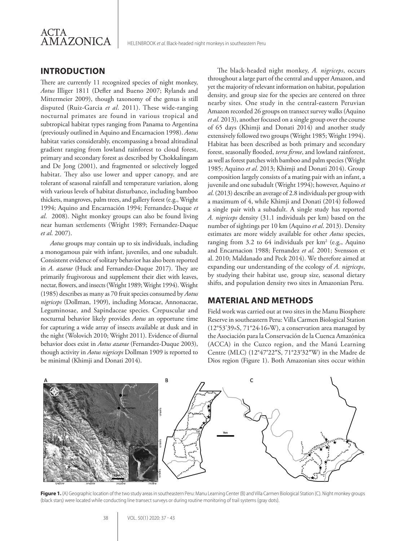

#### **INTRODUCTION**

There are currently 11 recognized species of night monkey, *Aotus* Illiger 1811 (Defler and Bueno 2007; Rylands and Mittermeier 2009), though taxonomy of the genus is still disputed (Ruiz-Garcia *et al*. 2011). These wide-ranging nocturnal primates are found in various tropical and subtropical habitat types ranging from Panama to Argentina (previously outlined in Aquino and Encarnacion 1998). *Aotus*  habitat varies considerably, encompassing a broad altitudinal gradient ranging from lowland rainforest to cloud forest, primary and secondary forest as described by Chokkalingam and De Jong (2001), and fragmented or selectively logged habitat. They also use lower and upper canopy, and are tolerant of seasonal rainfall and temperature variation, along with various levels of habitat disturbance, including bamboo thickets, mangroves, palm trees, and gallery forest (e.g., Wright 1994; Aquino and Encarnación 1994; Fernandez-Duque *et al*. 2008). Night monkey groups can also be found living near human settlements (Wright 1989; Fernandez-Duque *et al*. 2007).

*Aotus* groups may contain up to six individuals, including a monogamous pair with infant, juveniles, and one subadult. Consistent evidence of solitary behavior has also been reported in *A. azarae* (Huck and Fernandez-Duque 2017). They are primarily frugivorous and supplement their diet with leaves, nectar, flowers, and insects (Wright 1989; Wright 1994). Wright (1985) describes as many as 70 fruit species consumed by *Aotus nigriceps* (Dollman, 1909), including Moracae, Annonaceae, Leguminosae, and Sapindaceae species. Crepuscular and nocturnal behavior likely provides *Aotus* an opportune time for capturing a wide array of insects available at dusk and in the night (Wolovich 2010; Wright 2011). Evidence of diurnal behavior does exist in *Aotus azarae* (Fernandez-Duque 2003), though activity in *Aotus nigriceps* Dollman 1909 is reported to be minimal (Khimji and Donati 2014).

The black-headed night monkey, *A. nigriceps*, occurs throughout a large part of the central and upper Amazon, and yet the majority of relevant information on habitat, population density, and group size for the species are centered on three nearby sites. One study in the central-eastern Peruvian Amazon recorded 26 groups on transect survey walks (Aquino *et al*. 2013), another focused on a single group over the course of 65 days (Khimji and Donati 2014) and another study extensively followed two groups (Wright 1985; Wright 1994). Habitat has been described as both primary and secondary forest, seasonally flooded, *terra firme*, and lowland rainforest, as well as forest patches with bamboo and palm species (Wright 1985; Aquino *et al*. 2013; Khimji and Donati 2014). Group composition largely consists of a mating pair with an infant, a juvenile and one subadult (Wright 1994); however, Aquino *et al*. (2013) describe an average of 2.8 individuals per group with a maximum of 4, while Khimji and Donati (2014) followed a single pair with a subadult. A single study has reported *A. nigriceps* density (31.1 individuals per km) based on the number of sightings per 10 km (Aquino *et al*. 2013). Density estimates are more widely available for other *Aotus* species, ranging from  $3.2$  to  $64$  individuals per  $km^2$  (e.g., Aquino and Encarnacion 1988; Fernandez *et al*. 2001; Svensson et al. 2010; Maldanado and Peck 2014). We therefore aimed at expanding our understanding of the ecology of *A. nigriceps*, by studying their habitat use, group size, seasonal dietary shifts, and population density two sites in Amazonian Peru.

#### **MATERIAL AND METHODS**

Field work was carried out at two sites in the Manu Biosphere Reserve in southeastern Peru: Villa Carmen Biological Station (12°53'39»S, 71°24›16»W), a conservation area managed by the Asociación para la Conservación de la Cuenca Amazónica (ACCA) in the Cuzco region, and the Manú Learning Centre (MLC) (12°47′22″S, 71°23′32″W) in the Madre de Dios region (Figure 1). Both Amazonian sites occur within



Figure 1. (A) Geographic location of the two study areas in southeastern Peru: Manu Learning Center (B) and Villa Carmen Biological Station (C). Night monkey groups (black stars) were located while conducting line transect surveys or during routine monitoring of trail systems (gray dots).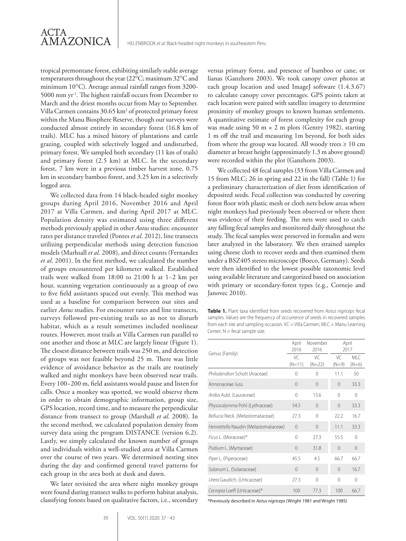tropical premontane forest, exhibiting similarly stable average temperatures throughout the year (22°C; maximum 32°C and minimum 10°C). Average annual rainfall ranges from 3200- 5000 mm yr-1. The highest rainfall occurs from December to March and the driest months occur from May to September. Villa Carmen contains 30.65 km<sup>2</sup> of protected primary forest within the Manu Biosphere Reserve, though our surveys were conducted almost entirely in secondary forest (16.8 km of trails). MLC has a mixed history of plantations and cattle grazing, coupled with selectively logged and undisturbed, primary forest. We sampled both secondary (11 km of trails) and primary forest (2.5 km) at MLC. In the secondary forest, 7 km were in a previous timber harvest zone, 0.75 km in secondary bamboo forest, and 3.25 km in a selectively logged area.

We collected data from 14 black-headed night monkey groups during April 2016, November 2016 and April 2017 at Villa Carmen, and during April 2017 at MLC. Population density was estimated using three different methods previously applied in other *Aotus* studies: encounter rates per distance traveled (Pontes *et al*. 2012), line transects utilizing perpendicular methods using detection function models (Marhsall *et al.* 2008), and direct counts (Fernandez *et al*. 2001). In the first method, we calculated the number of groups encountered per kilometer walked. Established trails were walked from 18:00 to 21:00 h at 1−2 km per hour, scanning vegetation continuously as a group of two to five field assistants spaced out evenly. This method was used as a baseline for comparison between our sites and earlier *Aotus* studies. For encounter rates and line transects, surveys followed pre-existing trails so as not to disturb habitat, which as a result sometimes included nonlinear routes. However, most trails at Villa Carmen run parallel to one another and those at MLC are largely linear (Figure 1). The closest distance between trails was 250 m, and detection of groups was not feasible beyond 25 m. There was little evidence of avoidance behavior as the trails are routinely walked and night monkeys have been observed near trails. Every 100−200 m, field assistants would pause and listen for calls. Once a monkey was spotted, we would observe them in order to obtain demographic information, group size, GPS location, record time, and to measure the perpendicular distance from transect to group (Marshall *et al*. 2008). In the second method, we calculated population density from survey data using the program DISTANCE (version 6.2). Lastly, we simply calculated the known number of groups and individuals within a well-studied area at Villa Carmen over the course of two years. We determined nesting sites during the day and confirmed general travel patterns for each group in the area both at dusk and dawn.

We later revisited the area where night monkey groups were found during transect walks to perform habitat analysis, classifying forests based on qualitative factors, i.e., secondary

versus primary forest, and presence of bamboo or cane, or lianas (Ganzhorn 2003). We took canopy cover photos at each group location and used ImageJ software (1.4.3.67) to calculate canopy cover percentages. GPS points taken at each location were paired with satellite imagery to determine proximity of monkey groups to known human settlements. A quantitative estimate of forest complexity for each group was made using 50 m  $\times$  2 m plots (Gentry 1982), starting 1 m off the trail and measuring 1m beyond, for both sides from where the group was located. All woody trees  $\geq 10$  cm diameter at breast height (approximately 1.3 m above ground) were recorded within the plot (Ganzhorn 2003).

We collected 48 fecal samples (33 from Villa Carmen and 15 from MLC; 26 in spring and 22 in the fall) (Table 1) for a preliminary characterization of diet from identification of deposited seeds. Fecal collection was conducted by covering forest floor with plastic mesh or cloth nets below areas where night monkeys had previously been observed or where there was evidence of their feeding. The nets were used to catch any falling fecal samples and monitored daily throughout the study. The fecal samples were preserved in formalin and were later analyzed in the laboratory. We then strained samples using cheese cloth to recover seeds and then examined them under a BSZ405 stereo microscope (Boeco, Germany). Seeds were then identified to the lowest possible taxonomic level using available literature and categorized based on association with primary or secondary-forest types (e.g., Cornejo and Janovec 2010).

**Table 1.** Plant taxa identified from seeds recovered from *Aotus nigriceps* fecal samples. Values are the frequency of occurrence of seeds in recovered samples from each site and sampling occasion. VC = Villa Carmen; MLC = Manu Learning Center;  $N =$  fecal sample size.

|                                       | April<br>2016  | November<br>2016 | April<br>2017 |                 |
|---------------------------------------|----------------|------------------|---------------|-----------------|
| Genus (Family)                        | VC<br>$(N=11)$ | VC<br>$(N=22)$   | VC<br>$(N=9)$ | MLC.<br>$(N=6)$ |
| Philodendron Schott (Araceae)         | 0              | $\bigcap$        | 11.1          | 50              |
| Annonaceae luss                       | $\Omega$       | $\Omega$         | $\Omega$      | 33.3            |
| Aniba Aubl. (Lauraceae)               | $\Omega$       | 13.6             | $\Omega$      | $\Omega$        |
| Physocalymma Pohl (Lythraceae)        | 54.5           | $\Omega$         | $\Omega$      | 33.3            |
| Bellucia Neck. (Melastomataceae)      | 27.3           | $\Omega$         | 22.2          | 16.7            |
| Henriettella Naudin (Melastomataceae) | $\Omega$       | $\Omega$         | 11.1          | 33.3            |
| Ficus L. (Moraceae)*                  | 0              | 27.3             | 55.5          | $\Omega$        |
| Psidium L. (Myrtaceae)                | $\Omega$       | 31.8             | $\Omega$      | $\Omega$        |
| Piper L. (Piperaceae)                 | 45.5           | 45               | 66.7          | 66.7            |
| Solanum L. (Solanaceae)               | $\Omega$       | $\Omega$         | $\Omega$      | 16.7            |
| Urera Gaudich. (Urticaceae)           | 27.3           | $\Omega$         | $\Omega$      | $\Omega$        |
| Cecropia Loefl (Urticaceae)*          | 100            | 77.3             | 100           | 66.7            |

\*Previously described in *Aotus nigriceps*(Wright 1981 and Wright 1985)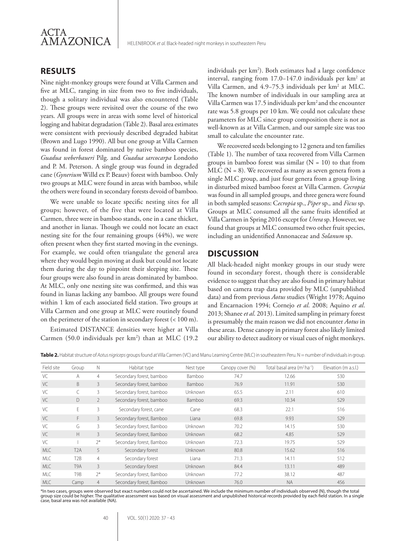

#### **RESULTS**

Nine night-monkey groups were found at Villa Carmen and five at MLC, ranging in size from two to five individuals, though a solitary individual was also encountered (Table 2). These groups were revisited over the course of the two years. All groups were in areas with some level of historical logging and habitat degradation (Table 2). Basal area estimates were consistent with previously described degraded habitat (Brown and Lugo 1990). All but one group at Villa Carmen was found in forest dominated by native bamboo species, *Guadua weberbaueri* Pilg. and *Guadua sarcocarpa* Londoño and P. M. Peterson. A single group was found in degraded cane (*Gynerium* Willd ex P. Beauv) forest with bamboo. Only two groups at MLC were found in areas with bamboo, while the others were found in secondary forests devoid of bamboo.

We were unable to locate specific nesting sites for all groups; however, of the five that were located at Villa Carmen, three were in bamboo stands, one in a cane thicket, and another in lianas. Though we could not locate an exact nesting site for the four remaining groups (44%), we were often present when they first started moving in the evenings. For example, we could often triangulate the general area where they would begin moving at dusk but could not locate them during the day to pinpoint their sleeping site. These four groups were also found in areas dominated by bamboo. At MLC, only one nesting site was confirmed, and this was found in lianas lacking any bamboo. All groups were found within 1 km of each associated field station. Two groups at Villa Carmen and one group at MLC were routinely found on the perimeter of the station in secondary forest (< 100 m).

Estimated DISTANCE densities were higher at Villa Carmen (50.0 individuals per  $km^2$ ) than at MLC (19.2

individuals per km<sup>2</sup>). Both estimates had a large confidence interval, ranging from 17.0−147.0 individuals per km2 at Villa Carmen, and 4.9−75.3 individuals per km2 at MLC. The known number of individuals in our sampling area at Villa Carmen was 17.5 individuals per km<sup>2</sup> and the encounter rate was 5.8 groups per 10 km. We could not calculate these parameters for MLC since group composition there is not as well-known as at Villa Carmen, and our sample size was too small to calculate the encounter rate.

We recovered seeds belonging to 12 genera and ten families (Table 1). The number of taxa recovered from Villa Carmen groups in bamboo forest was similar  $(N = 10)$  to that from  $MLC$  ( $N = 8$ ). We recovered as many as seven genera from a single MLC group, and just four genera from a group living in disturbed mixed bamboo forest at Villa Carmen. *Cecropia* was found in all sampled groups, and three genera were found in both sampled seasons: C*ecropia* sp., *Piper* sp.*,* and *Ficus* sp. Groups at MLC consumed all the same fruits identified at Villa Carmen in Spring 2016 except for *Urera* sp. However, we found that groups at MLC consumed two other fruit species, including an unidentified Annonaceae and *Solanum* sp.

#### **DISCUSSION**

All black-headed night monkey groups in our study were found in secondary forest, though there is considerable evidence to suggest that they are also found in primary habitat based on camera trap data provided by MLC (unpublished data) and from previous *Aotus* studies (Wright 1978; Aquino and Encarnacion 1994; Cornejo *et al*. 2008; Aquino *et al*. 2013; Shanee *et al*. 2013). Limited sampling in primary forest is presumably the main reason we did not encounter *Aotus* in these areas. Dense canopy in primary forest also likely limited our ability to detect auditory or visual cues of night monkeys.

**Table 2.** Habitat structure of *Aotus nigriceps* groups found at Villa Carmen (VC) and Manu Learning Centre (MLC) in southeastern Peru. N = number of individuals in group.

| Field site | Group            | N              | Habitat type             | Nest type | Canopy cover (%) | Total basal area (m <sup>2</sup> ha <sup>-1</sup> ) | Elevation (m a.s.l.) |
|------------|------------------|----------------|--------------------------|-----------|------------------|-----------------------------------------------------|----------------------|
| VC         | A                | $\overline{4}$ | Secondary forest, bamboo | Bamboo    | 74.7             | 12.66                                               | 530                  |
| VC         | B.               | 3              | Secondary forest, bamboo | Bamboo    | 76.9             | 11.91                                               | 530                  |
| VC         |                  | 3              | Secondary forest, bamboo | Unknown   | 65.5             | 2.11                                                | 610                  |
| VC         | D                | $\overline{2}$ | Secondary forest, bamboo | Bamboo    | 69.3             | 10.34                                               | 529                  |
| VC         | E                | 3              | Secondary forest, cane   | Cane      | 68.3             | 22.1                                                | 516                  |
| VC         | F.               | 3              | Secondary forest, Bamboo | Liana     | 69.8             | 9.93                                                | 529                  |
| VC         | G                | 3              | Secondary forest, Bamboo | Unknown   | 70.2             | 14.15                                               | 530                  |
| VC         | Н                | 3              | Secondary forest, Bamboo | Unknown   | 68.2             | 4.85                                                | 529                  |
| VC         |                  | $2^*$          | Secondary forest, Bamboo | Unknown   | 72.3             | 19.75                                               | 529                  |
| <b>MLC</b> | T <sub>2</sub> A | 5              | Secondary forest         | Unknown   | 80.8             | 15.62                                               | 516                  |
| <b>MLC</b> | T <sub>2</sub> B | $\overline{4}$ | Secondary forest         | Liana     | 71.3             | 14.11                                               | 512                  |
| <b>MLC</b> | T <sub>9</sub> A | 3              | Secondary forest         | Unknown   | 84.4             | 13.11                                               | 489                  |
| <b>MLC</b> | T <sub>9</sub> B | $2^*$          | Secondary forest, Bamboo | Unknown   | 77.2             | 38.12                                               | 487                  |
| <b>MLC</b> | Camp             | $\overline{4}$ | Secondary forest, Bamboo | Unknown   | 76.0             | <b>NA</b>                                           | 456                  |

\*In two cases, groups were observed but exact numbers could not be ascertained. We include the minimum number of individuals observed (N), though the total<br>group size could be higher. The qualitative assessment was based o case, basal area was not available (NA).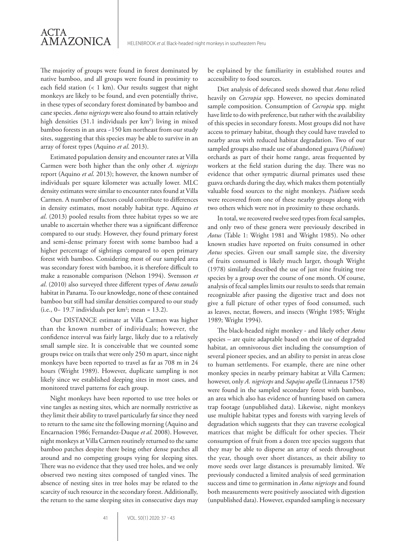# ACTA AMAZONICA

The majority of groups were found in forest dominated by native bamboo, and all groups were found in proximity to each field station (< 1 km). Our results suggest that night monkeys are likely to be found, and even potentially thrive, in these types of secondary forest dominated by bamboo and cane species. *Aotus nigriceps* were also found to attain relatively high densities (31.1 individuals per km2 ) living in mixed bamboo forests in an area ~150 km northeast from our study sites, suggesting that this species may be able to survive in an array of forest types (Aquino *et al*. 2013).

Estimated population density and encounter rates at Villa Carmen were both higher than the only other *A. nigriceps* report (Aquino *et al*. 2013); however, the known number of individuals per square kilometer was actually lower. MLC density estimates were similar to encounter rates found at Villa Carmen. A number of factors could contribute to differences in density estimates, most notably habitat type. Aquino *et al*. (2013) pooled results from three habitat types so we are unable to ascertain whether there was a significant difference compared to our study. However, they found primary forest and semi-dense primary forest with some bamboo had a higher percentage of sightings compared to open primary forest with bamboo. Considering most of our sampled area was secondary forest with bamboo, it is therefore difficult to make a reasonable comparison (Nelson 1994). Svensson *et al*. (2010) also surveyed three different types of *Aotus zonalis* habitat in Panama. To our knowledge, none of these contained bamboo but still had similar densities compared to our study (i.e., 0 − 19.7 individuals per  $km^2$ ; mean = 13.2).

Our DISTANCE estimate at Villa Carmen was higher than the known number of individuals; however, the confidence interval was fairly large, likely due to a relatively small sample size. It is conceivable that we counted some groups twice on trails that were only 250 m apart, since night monkeys have been reported to travel as far as 708 m in 24 hours (Wright 1989). However, duplicate sampling is not likely since we established sleeping sites in most cases, and monitored travel patterns for each group.

Night monkeys have been reported to use tree holes or vine tangles as nesting sites, which are normally restrictive as they limit their ability to travel particularly far since they need to return to the same site the following morning (Aquino and Encarnacion 1986; Fernandez-Duque *et al*. 2008). However, night monkeys at Villa Carmen routinely returned to the same bamboo patches despite there being other dense patches all around and no competing groups vying for sleeping sites. There was no evidence that they used tree holes, and we only observed two nesting sites composed of tangled vines. The absence of nesting sites in tree holes may be related to the scarcity of such resource in the secondary forest. Additionally, the return to the same sleeping sites in consecutive days may be explained by the familiarity in established routes and accessibility to food sources.

Diet analysis of defecated seeds showed that *Aotus* relied heavily on *Cecropia* spp. However, no species dominated sample composition. Consumption of *Cecropia* spp*.* might have little to do with preference, but rather with the availability of this species in secondary forests. Most groups did not have access to primary habitat, though they could have traveled to nearby areas with reduced habitat degradation. Two of our sampled groups also made use of abandoned guava (*Psidium*) orchards as part of their home range, areas frequented by workers at the field station during the day. There was no evidence that other sympatric diurnal primates used these guava orchards during the day, which makes them potentially valuable food sources to the night monkeys. *Psidium* seeds were recovered from one of these nearby groups along with two others which were not in proximity to these orchards.

In total, we recovered twelve seed types from fecal samples, and only two of these genera were previously described in *Aotus* (Table 1: Wright 1981 and Wright 1985). No other known studies have reported on fruits consumed in other *Aotus* species. Given our small sample size, the diversity of fruits consumed is likely much larger, though Wright (1978) similarly described the use of just nine fruiting tree species by a group over the course of one month. Of course, analysis of fecal samples limits our results to seeds that remain recognizable after passing the digestive tract and does not give a full picture of other types of food consumed, such as leaves, nectar, flowers, and insects (Wright 1985; Wright 1989; Wright 1994).

The black-headed night monkey - and likely other *Aotus* species – are quite adaptable based on their use of degraded habitat, an omnivorous diet including the consumption of several pioneer species, and an ability to persist in areas close to human settlements. For example, there are nine other monkey species in nearby primary habitat at Villa Carmen; however, only *A. nigriceps* and *Sapajus apella* (Linnaeus 1758) were found in the sampled secondary forest with bamboo, an area which also has evidence of hunting based on camera trap footage (unpublished data). Likewise, night monkeys use multiple habitat types and forests with varying levels of degradation which suggests that they can traverse ecological matrices that might be difficult for other species. Their consumption of fruit from a dozen tree species suggests that they may be able to disperse an array of seeds throughout the year, though over short distances, as their ability to move seeds over large distances is presumably limited. We previously conducted a limited analysis of seed germination success and time to germination in *Aotus nigriceps* and found both measurements were positively associated with digestion (unpublished data). However, expanded sampling is necessary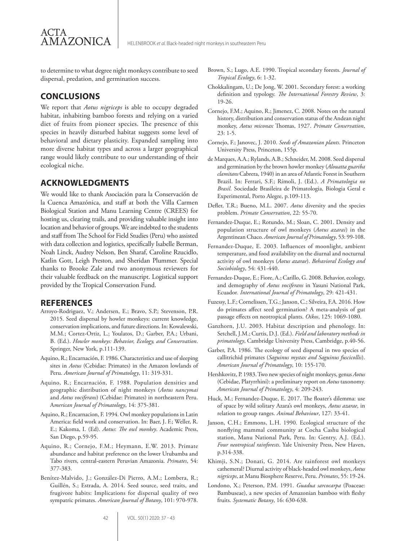to determine to what degree night monkeys contribute to seed dispersal, predation, and germination success.

## **CONCLUSIONS**

AMAZONICA

ACTA

We report that *Aotus nigriceps* is able to occupy degraded habitat, inhabiting bamboo forests and relying on a varied diet of fruits from pioneer species. The presence of this species in heavily disturbed habitat suggests some level of behavioral and dietary plasticity. Expanded sampling into more diverse habitat types and across a larger geographical range would likely contribute to our understanding of their ecological niche.

### **ACKNOWLEDGMENTS**

We would like to thank Asociación para la Conservación de la Cuenca Amazónica, and staff at both the Villa Carmen Biological Station and Manu Learning Centre (CREES) for hosting us, clearing trails, and providing valuable insight into location and behavior of groups. We are indebted to the students and staff from The School for Field Studies (Peru) who assisted with data collection and logistics, specifically Isabelle Berman, Noah Linck, Audrey Nelson, Ben Sharaf, Caroline Rzucidlo, Katlin Gott, Leigh Preston, and Sheridan Plummer. Special thanks to Brooke Zale and two anonymous reviewers for their valuable feedback on the manuscript. Logistical support provided by the Tropical Conservation Fund.

#### **REFERENCES**

- Arroyo-Rodriguez, V.; Andersen, E.; Bravo, S.P.; Stevenson, P.R. 2015. Seed dispersal by howler monkeys: current knowledge, conservation implications, and future directions. In: Kowalewski, M.M.; Cortez-Ortiz, L.; Youlatos, D.; Garber, P.A.; Urbani, B. (Ed.). *Howler monkeys: Behavior, Ecology, and Conservation*. Springer, New York, p.111-139.
- Aquino, R.; Encarnación, F. 1986. Characteristics and use of sleeping sites in *Aotus* (Cebidae: Primates) in the Amazon lowlands of Peru. *American Journal of Primatology*, 11: 319-331.
- Aquino, R.; Encarnación, F. 1988. Population densities and geographic distribution of night monkeys (*Aotus nancymai* and *Aotus vociferans*) (Cebidae: Primates) in northeastern Peru. A*merican Journal of Primatology*, 14: 375-381.
- Aquino, R.; Encarnacion, F. 1994. Owl monkey populations in Latin America: field work and conservation. In: Baer, J. F.; Weller, R. E.; Kakoma, I. (Ed). *Aotus*: *The owl monkey*. Academic Press, San Diego, p.59-95.
- Aquino, R.; Cornejo, F.M.; Heymann, E.W. 2013. Primate abundance and habitat preference on the lower Urubamba and Tabo rivers, central-eastern Peruvian Amazonia. *Primates*, 54: 377-383.
- Benítez-Malvido, J.; González-Di Pierro, A.M.; Lombera, R.; Guillén, S.; Estrada, A. 2014. Seed source, seed traits, and frugivore habits: Implications for dispersal quality of two sympatric primates. *American Journal of Botany*, 101: 970-978.
- Brown, S.; Lugo, A.E. 1990. Tropical secondary forests. *Journal of Tropical Ecology*, 6: 1-32.
- Chokkalingam, U.; De Jong, W. 2001. Secondary forest: a working definition and typology. *The International Forestry Review*, 3: 19-26.
- Cornejo, F.M.; Aquino, R.; Jimenez, C. 2008. Notes on the natural history, distribution and conservation status of the Andean night monkey, *Aotus miconax* Thomas, 1927. *Primate Conservation*, 23: 1-5.
- Cornejo, F.; Janovec, J. 2010. *Seeds of Amazonian plants*. Princeton University Press, Princeton, 155p.
- de Marques, A.A.; Rylands, A.B.; Schneider, M. 2008. Seed dispersal and germination by the brown howler monkey (*Alouatta guariba clamitans* Cabrera, 1940) in an area of Atlantic Forest in Southern Brazil. In: Ferrari, S.F.; Rímoli, J. (Ed.). *A Primatologia no Brasil*. Sociedade Brasileira de Primatologia, Biologia Geral e Experimental, Porto Alegre, p.109-113.
- Defler, T.R.; Bueno, M.L. 2007. *Aotus* diversity and the species problem. *Primate Conservation*, 22: 55-70.
- Fernandez‐Duque, E.; Rotundo, M.; Sloan, C. 2001. Density and population structure of owl monkeys (*Aotus azarai*) in the Argentinean Chaco. *American Journal of Primatology*, 53: 99-108.
- Fernandez-Duque, E. 2003. Influences of moonlight, ambient temperature, and food availability on the diurnal and nocturnal activity of owl monkeys (*Aotus azarae*). *Behavioral Ecology and Sociobiology*, 54: 431-440.
- Fernandez-Duque, E.; Fiore, A.; Carillo, G. 2008. Behavior, ecology, and demography of *Aotus vociferans* in Yasuni National Park, Ecuador*. International Journal of Primatology*, 29: 421-431.
- Fuzessy, L.F.; Cornelissen, T.G.; Janson, C.; Silveira, F.A. 2016. How do primates affect seed germination? A meta‐analysis of gut passage effects on neotropical plants. *Oikos*, 125: 1069-1080.
- Ganzhorn, J.U. 2003. Habitat description and phenology. In: Setchell, J.M.; Curtis, D.J. (Ed.). *Field and laboratory methods in primatology*, Cambridge University Press, Cambridge, p.40-56.
- Garber, P.A. 1986. The ecology of seed dispersal in two species of callitrichid primates (*Saguinus mystax and Saguinus fuscicollis*). *American Journal of Primatology*, 10: 155-170.
- Hershkovitz, P. 1983. Two new species of night monkeys, genus *Aotus* (Cebidae, Platyrrhini): a preliminary report on *Aotus* taxonomy. *American Journal of Primatology*, 4: 209-243.
- Huck, M.; Fernandez-Duque, E. 2017. The floater's dilemma: use of space by wild solitary Azara's owl monkeys, *Aotus azarae*, in relation to group ranges. *Animal Behaviour*, 127: 33-41.
- Janson, C.H.; Emmons, L.H. 1990. Ecological structure of the nonflying mammal community at Cocha Cashu biological station, Manu National Park, Peru. In: Gentry, A.J. (Ed.). *Four neotropical rainforests*. Yale University Press, New Haven, p.314-338.
- Khimji, S.N.; Donati, G. 2014. Are rainforest owl monkeys cathemeral? Diurnal activity of black-headed owl monkeys, *Aotus nigriceps*, at Manu Biosphere Reserve, Peru. *Primates*, 55: 19-24.
- Londono, X.; Peterson, P.M. 1991. *Guadua sarcocarpa* (Poaceae: Bambuseae), a new species of Amazonian bamboo with fleshy fruits. *Systematic Botany*, 16: 630-638.